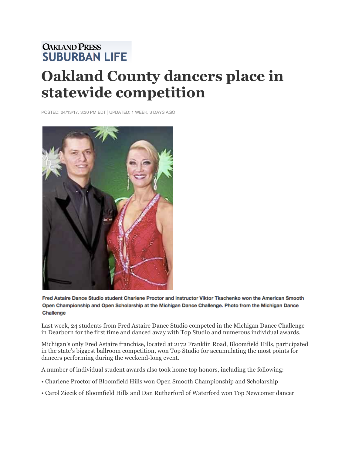## **OAKLAND PRESS<br>SUBURBAN LIFE Oakland County dancers place in statewide competition**

POSTED: 04/13/17, 3:30 PM EDT | UPDATED: 1 WEEK, 3 DAYS AGO



Fred Astaire Dance Studio student Charlene Proctor and instructor Viktor Tkachenko won the American Smooth Open Championship and Open Scholarship at the Michigan Dance Challenge. Photo from the Michigan Dance Challenge

Last week, 24 students from Fred Astaire Dance Studio competed in the Michigan Dance Challenge in Dearborn for the first time and danced away with Top Studio and numerous individual awards.

Michigan's only Fred Astaire franchise, located at 2172 Franklin Road, Bloomfield Hills, participated in the state's biggest ballroom competition, won Top Studio for accumulating the most points for dancers performing during the weekend-long event.

A number of individual student awards also took home top honors, including the following:

- Charlene Proctor of Bloomfield Hills won Open Smooth Championship and Scholarship
- Carol Ziecik of Bloomfield Hills and Dan Rutherford of Waterford won Top Newcomer dancer